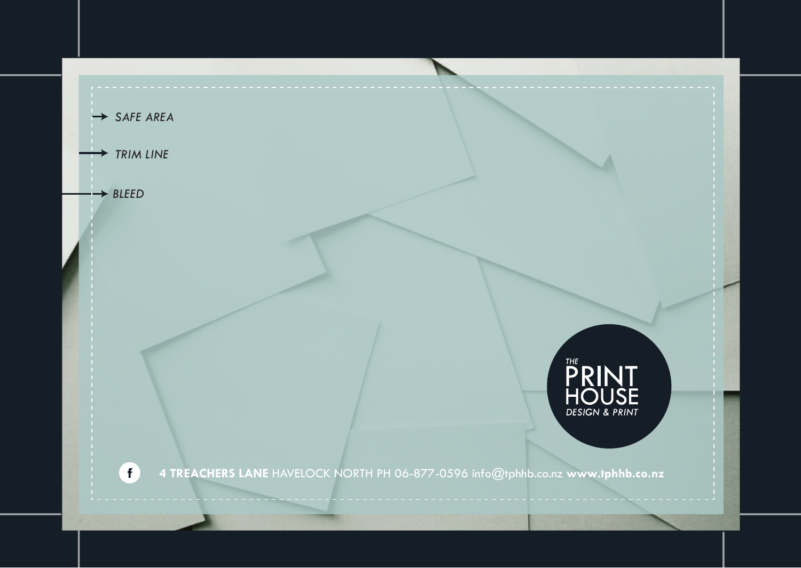